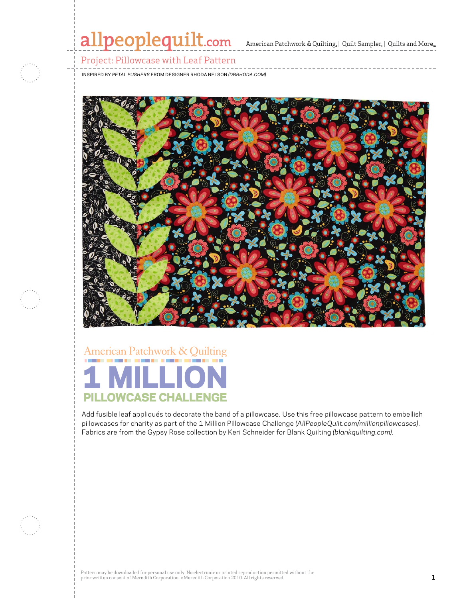## allpeoplequilt.com American Patchwork & Quilting, | Quilt Sampler, | Quilts and More..

### Project: Pillowcase with Leaf Pattern

Inspired By *Petal Pushers* from Designer Rhoda Nelson *(DBrhoda.com)*



# American Patchwork & Quilting **PILLOWCASE CHALLENGE**

Add fusible leaf appliqués to decorate the band of a pillowcase. Use this free pillowcase pattern to embellish pillowcases for charity as part of the 1 Million Pillowcase Challenge *(AllPeopleQuilt.com/millionpillowcases)*. Fabrics are from the Gypsy Rose collection by Keri Schneider for Blank Quilting *(blankquilting.com)*.